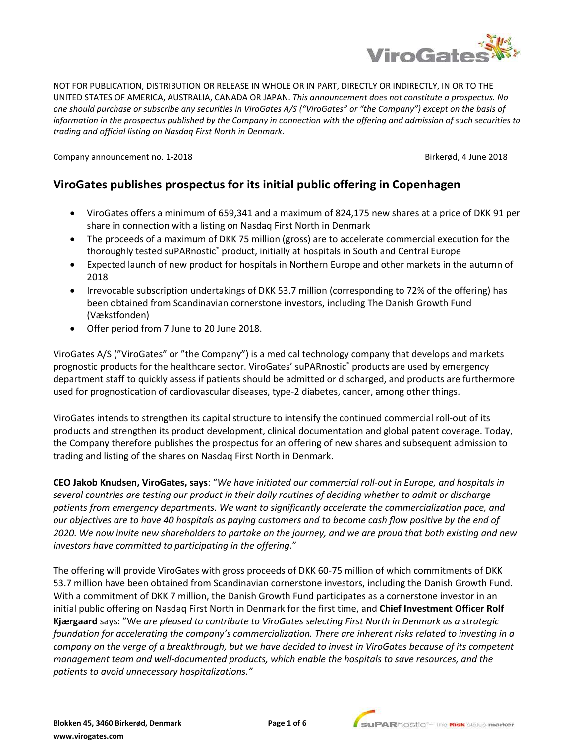

NOT FOR PUBLICATION, DISTRIBUTION OR RELEASE IN WHOLE OR IN PART, DIRECTLY OR INDIRECTLY, IN OR TO THE UNITED STATES OF AMERICA, AUSTRALIA, CANADA OR JAPAN. *This announcement does not constitute a prospectus. No one should purchase or subscribe any securities in ViroGates A/S ("ViroGates" or "the Company") except on the basis of information in the prospectus published by the Company in connection with the offering and admission of such securities to trading and official listing on Nasdaq First North in Denmark.*

Company announcement no. 1-2018 **Birkerød, 4 June 2018** 

# **ViroGates publishes prospectus for its initial public offering in Copenhagen**

- ViroGates offers a minimum of 659,341 and a maximum of 824,175 new shares at a price of DKK 91 per share in connection with a listing on Nasdaq First North in Denmark
- The proceeds of a maximum of DKK 75 million (gross) are to accelerate commercial execution for the thoroughly tested suPARnostic® product, initially at hospitals in South and Central Europe
- Expected launch of new product for hospitals in Northern Europe and other markets in the autumn of 2018
- Irrevocable subscription undertakings of DKK 53.7 million (corresponding to 72% of the offering) has been obtained from Scandinavian cornerstone investors, including The Danish Growth Fund (Vækstfonden)
- Offer period from 7 June to 20 June 2018.

ViroGates A/S ("ViroGates" or "the Company") is a medical technology company that develops and markets prognostic products for the healthcare sector. ViroGates' suPARnostic® products are used by emergency department staff to quickly assess if patients should be admitted or discharged, and products are furthermore used for prognostication of cardiovascular diseases, type-2 diabetes, cancer, among other things.

ViroGates intends to strengthen its capital structure to intensify the continued commercial roll-out of its products and strengthen its product development, clinical documentation and global patent coverage. Today, the Company therefore publishes the prospectus for an offering of new shares and subsequent admission to trading and listing of the shares on Nasdaq First North in Denmark.

**CEO Jakob Knudsen, ViroGates, says**: "*We have initiated our commercial roll-out in Europe, and hospitals in several countries are testing our product in their daily routines of deciding whether to admit or discharge patients from emergency departments. We want to significantly accelerate the commercialization pace, and our objectives are to have 40 hospitals as paying customers and to become cash flow positive by the end of 2020. We now invite new shareholders to partake on the journey, and we are proud that both existing and new investors have committed to participating in the offering.*"

The offering will provide ViroGates with gross proceeds of DKK 60-75 million of which commitments of DKK 53.7 million have been obtained from Scandinavian cornerstone investors, including the Danish Growth Fund. With a commitment of DKK 7 million, the Danish Growth Fund participates as a cornerstone investor in an initial public offering on Nasdaq First North in Denmark for the first time, and **Chief Investment Officer Rolf Kjærgaard** says: "We *are pleased to contribute to ViroGates selecting First North in Denmark as a strategic foundation for accelerating the company's commercialization. There are inherent risks related to investing in a company on the verge of a breakthrough, but we have decided to invest in ViroGates because of its competent management team and well-documented products, which enable the hospitals to save resources, and the patients to avoid unnecessary hospitalizations."*

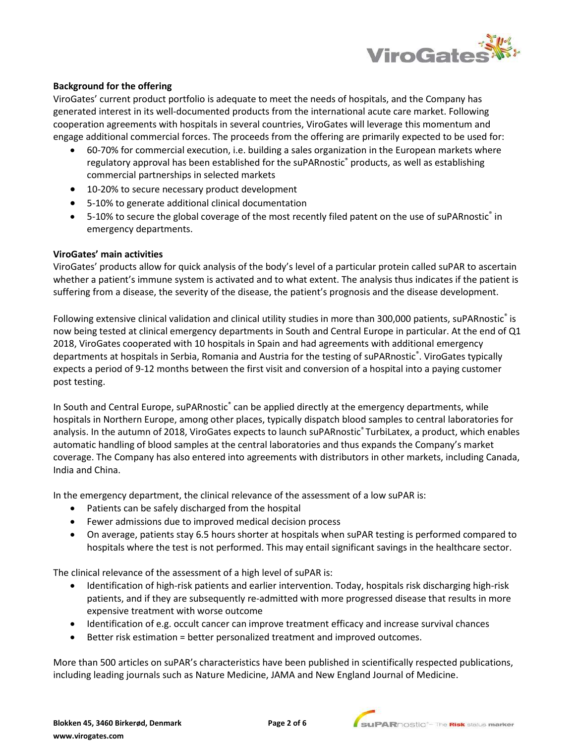

## **Background for the offering**

ViroGates' current product portfolio is adequate to meet the needs of hospitals, and the Company has generated interest in its well-documented products from the international acute care market. Following cooperation agreements with hospitals in several countries, ViroGates will leverage this momentum and engage additional commercial forces. The proceeds from the offering are primarily expected to be used for:

- 60-70% for commercial execution, i.e. building a sales organization in the European markets where regulatory approval has been established for the suPARnostic® products, as well as establishing commercial partnerships in selected markets
- 10-20% to secure necessary product development
- 5-10% to generate additional clinical documentation
- 5-10% to secure the global coverage of the most recently filed patent on the use of suPARnostic® in emergency departments.

#### **ViroGates' main activities**

ViroGates' products allow for quick analysis of the body's level of a particular protein called suPAR to ascertain whether a patient's immune system is activated and to what extent. The analysis thus indicates if the patient is suffering from a disease, the severity of the disease, the patient's prognosis and the disease development.

Following extensive clinical validation and clinical utility studies in more than 300,000 patients, suPARnostic® is now being tested at clinical emergency departments in South and Central Europe in particular. At the end of Q1 2018, ViroGates cooperated with 10 hospitals in Spain and had agreements with additional emergency departments at hospitals in Serbia, Romania and Austria for the testing of suPARnostic® . ViroGates typically expects a period of 9-12 months between the first visit and conversion of a hospital into a paying customer post testing.

In South and Central Europe, suPARnostic® can be applied directly at the emergency departments, while hospitals in Northern Europe, among other places, typically dispatch blood samples to central laboratories for analysis. In the autumn of 2018, ViroGates expects to launch suPARnostic® TurbiLatex, a product, which enables automatic handling of blood samples at the central laboratories and thus expands the Company's market coverage. The Company has also entered into agreements with distributors in other markets, including Canada, India and China.

In the emergency department, the clinical relevance of the assessment of a low suPAR is:

- Patients can be safely discharged from the hospital
- Fewer admissions due to improved medical decision process
- On average, patients stay 6.5 hours shorter at hospitals when suPAR testing is performed compared to hospitals where the test is not performed. This may entail significant savings in the healthcare sector.

The clinical relevance of the assessment of a high level of suPAR is:

- Identification of high-risk patients and earlier intervention. Today, hospitals risk discharging high-risk patients, and if they are subsequently re-admitted with more progressed disease that results in more expensive treatment with worse outcome
- Identification of e.g. occult cancer can improve treatment efficacy and increase survival chances
- Better risk estimation = better personalized treatment and improved outcomes.

More than 500 articles on suPAR's characteristics have been published in scientifically respected publications, including leading journals such as Nature Medicine, JAMA and New England Journal of Medicine.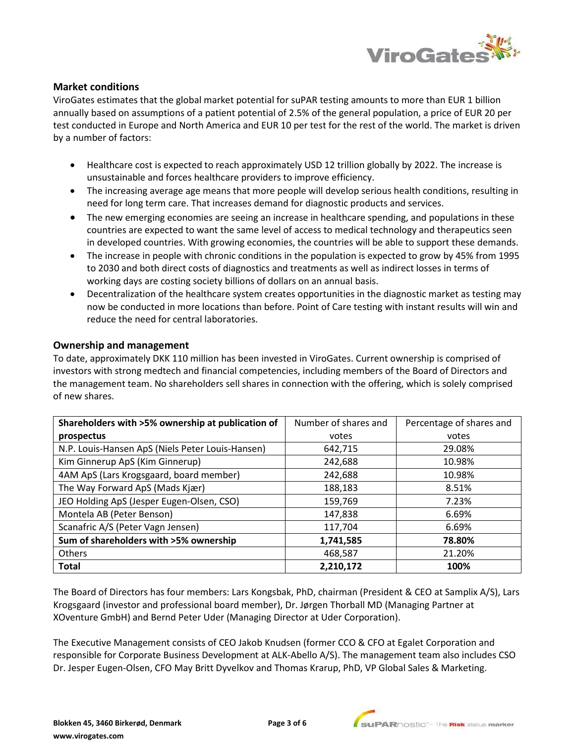

## **Market conditions**

ViroGates estimates that the global market potential for suPAR testing amounts to more than EUR 1 billion annually based on assumptions of a patient potential of 2.5% of the general population, a price of EUR 20 per test conducted in Europe and North America and EUR 10 per test for the rest of the world. The market is driven by a number of factors:

- Healthcare cost is expected to reach approximately USD 12 trillion globally by 2022. The increase is unsustainable and forces healthcare providers to improve efficiency.
- The increasing average age means that more people will develop serious health conditions, resulting in need for long term care. That increases demand for diagnostic products and services.
- The new emerging economies are seeing an increase in healthcare spending, and populations in these countries are expected to want the same level of access to medical technology and therapeutics seen in developed countries. With growing economies, the countries will be able to support these demands.
- The increase in people with chronic conditions in the population is expected to grow by 45% from 1995 to 2030 and both direct costs of diagnostics and treatments as well as indirect losses in terms of working days are costing society billions of dollars on an annual basis.
- Decentralization of the healthcare system creates opportunities in the diagnostic market as testing may now be conducted in more locations than before. Point of Care testing with instant results will win and reduce the need for central laboratories.

## **Ownership and management**

To date, approximately DKK 110 million has been invested in ViroGates. Current ownership is comprised of investors with strong medtech and financial competencies, including members of the Board of Directors and the management team. No shareholders sell shares in connection with the offering, which is solely comprised of new shares.

| Shareholders with >5% ownership at publication of | Number of shares and | Percentage of shares and |
|---------------------------------------------------|----------------------|--------------------------|
| prospectus                                        | votes                | votes                    |
| N.P. Louis-Hansen ApS (Niels Peter Louis-Hansen)  | 642,715              | 29.08%                   |
| Kim Ginnerup ApS (Kim Ginnerup)                   | 242,688              | 10.98%                   |
| 4AM ApS (Lars Krogsgaard, board member)           | 242,688              | 10.98%                   |
| The Way Forward ApS (Mads Kjær)                   | 188,183              | 8.51%                    |
| JEO Holding ApS (Jesper Eugen-Olsen, CSO)         | 159,769              | 7.23%                    |
| Montela AB (Peter Benson)                         | 147,838              | 6.69%                    |
| Scanafric A/S (Peter Vagn Jensen)                 | 117,704              | 6.69%                    |
| Sum of shareholders with >5% ownership            | 1,741,585            | 78.80%                   |
| <b>Others</b>                                     | 468,587              | 21.20%                   |
| <b>Total</b>                                      | 2,210,172            | 100%                     |

The Board of Directors has four members: Lars Kongsbak, PhD, chairman (President & CEO at Samplix A/S), Lars Krogsgaard (investor and professional board member), Dr. Jørgen Thorball MD (Managing Partner at XOventure GmbH) and Bernd Peter Uder (Managing Director at Uder Corporation).

The Executive Management consists of CEO Jakob Knudsen (former CCO & CFO at Egalet Corporation and responsible for Corporate Business Development at ALK-Abello A/S). The management team also includes CSO Dr. Jesper Eugen-Olsen, CFO May Britt Dyvelkov and Thomas Krarup, PhD, VP Global Sales & Marketing.

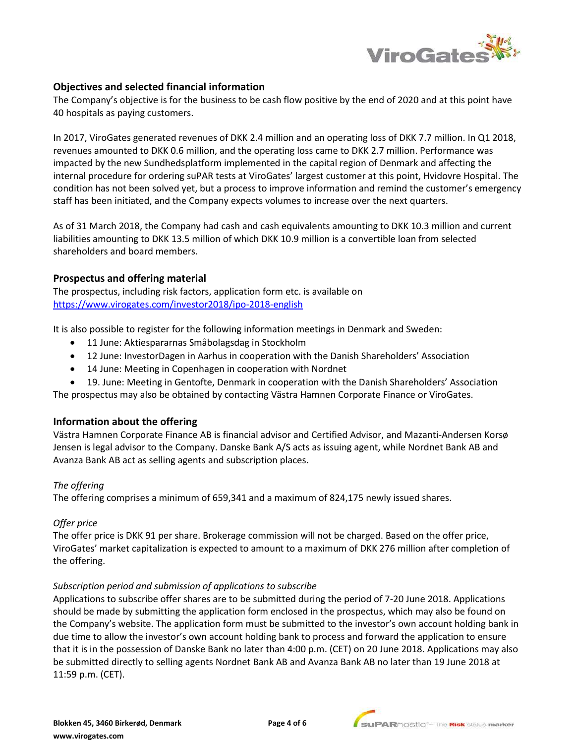

## **Objectives and selected financial information**

The Company's objective is for the business to be cash flow positive by the end of 2020 and at this point have 40 hospitals as paying customers.

In 2017, ViroGates generated revenues of DKK 2.4 million and an operating loss of DKK 7.7 million. In Q1 2018, revenues amounted to DKK 0.6 million, and the operating loss came to DKK 2.7 million. Performance was impacted by the new Sundhedsplatform implemented in the capital region of Denmark and affecting the internal procedure for ordering suPAR tests at ViroGates' largest customer at this point, Hvidovre Hospital. The condition has not been solved yet, but a process to improve information and remind the customer's emergency staff has been initiated, and the Company expects volumes to increase over the next quarters.

As of 31 March 2018, the Company had cash and cash equivalents amounting to DKK 10.3 million and current liabilities amounting to DKK 13.5 million of which DKK 10.9 million is a convertible loan from selected shareholders and board members.

## **Prospectus and offering material**

The prospectus, including risk factors, application form etc. is available on <https://www.virogates.com/investor2018/ipo-2018-english>

It is also possible to register for the following information meetings in Denmark and Sweden:

- 11 June: Aktiespararnas Småbolagsdag in Stockholm
- 12 June: InvestorDagen in Aarhus in cooperation with the Danish Shareholders' Association
- 14 June: Meeting in Copenhagen in cooperation with Nordnet
- 19. June: Meeting in Gentofte, Denmark in cooperation with the Danish Shareholders' Association

The prospectus may also be obtained by contacting Västra Hamnen Corporate Finance or ViroGates.

## **Information about the offering**

Västra Hamnen Corporate Finance AB is financial advisor and Certified Advisor, and Mazanti-Andersen Korsø Jensen is legal advisor to the Company. Danske Bank A/S acts as issuing agent, while Nordnet Bank AB and Avanza Bank AB act as selling agents and subscription places.

## *The offering*

The offering comprises a minimum of 659,341 and a maximum of 824,175 newly issued shares.

## *Offer price*

The offer price is DKK 91 per share. Brokerage commission will not be charged. Based on the offer price, ViroGates' market capitalization is expected to amount to a maximum of DKK 276 million after completion of the offering.

## *Subscription period and submission of applications to subscribe*

Applications to subscribe offer shares are to be submitted during the period of 7-20 June 2018. Applications should be made by submitting the application form enclosed in the prospectus, which may also be found on the Company's website. The application form must be submitted to the investor's own account holding bank in due time to allow the investor's own account holding bank to process and forward the application to ensure that it is in the possession of Danske Bank no later than 4:00 p.m. (CET) on 20 June 2018. Applications may also be submitted directly to selling agents Nordnet Bank AB and Avanza Bank AB no later than 19 June 2018 at 11:59 p.m. (CET).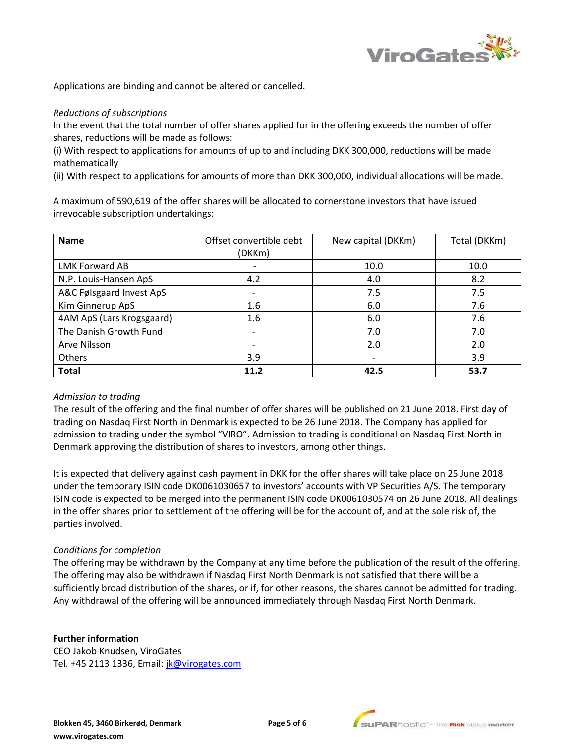

Applications are binding and cannot be altered or cancelled.

#### *Reductions of subscriptions*

In the event that the total number of offer shares applied for in the offering exceeds the number of offer shares, reductions will be made as follows:

(i) With respect to applications for amounts of up to and including DKK 300,000, reductions will be made mathematically

(ii) With respect to applications for amounts of more than DKK 300,000, individual allocations will be made.

A maximum of 590,619 of the offer shares will be allocated to cornerstone investors that have issued irrevocable subscription undertakings:

| <b>Name</b>               | Offset convertible debt  | New capital (DKKm)       | Total (DKKm) |
|---------------------------|--------------------------|--------------------------|--------------|
|                           | (DKKm)                   |                          |              |
| LMK Forward AB            | $\overline{\phantom{0}}$ | 10.0                     | 10.0         |
| N.P. Louis-Hansen ApS     | 4.2                      | 4.0                      | 8.2          |
| A&C Følsgaard Invest ApS  |                          | 7.5                      | 7.5          |
| Kim Ginnerup ApS          | 1.6                      | 6.0                      | 7.6          |
| 4AM ApS (Lars Krogsgaard) | 1.6                      | 6.0                      | 7.6          |
| The Danish Growth Fund    |                          | 7.0                      | 7.0          |
| Arve Nilsson              |                          | 2.0                      | 2.0          |
| <b>Others</b>             | 3.9                      | $\overline{\phantom{0}}$ | 3.9          |
| <b>Total</b>              | 11.2                     | 42.5                     | 53.7         |

## *Admission to trading*

The result of the offering and the final number of offer shares will be published on 21 June 2018. First day of trading on Nasdaq First North in Denmark is expected to be 26 June 2018. The Company has applied for admission to trading under the symbol "VIRO". Admission to trading is conditional on Nasdaq First North in Denmark approving the distribution of shares to investors, among other things.

It is expected that delivery against cash payment in DKK for the offer shares will take place on 25 June 2018 under the temporary ISIN code DK0061030657 to investors' accounts with VP Securities A/S. The temporary ISIN code is expected to be merged into the permanent ISIN code DK0061030574 on 26 June 2018. All dealings in the offer shares prior to settlement of the offering will be for the account of, and at the sole risk of, the parties involved.

## *Conditions for completion*

The offering may be withdrawn by the Company at any time before the publication of the result of the offering. The offering may also be withdrawn if Nasdaq First North Denmark is not satisfied that there will be a sufficiently broad distribution of the shares, or if, for other reasons, the shares cannot be admitted for trading. Any withdrawal of the offering will be announced immediately through Nasdaq First North Denmark.

#### **Further information**

CEO Jakob Knudsen, ViroGates Tel. +45 2113 1336, Email: *[jk@virogates.com](mailto:jk@virogates.com)*